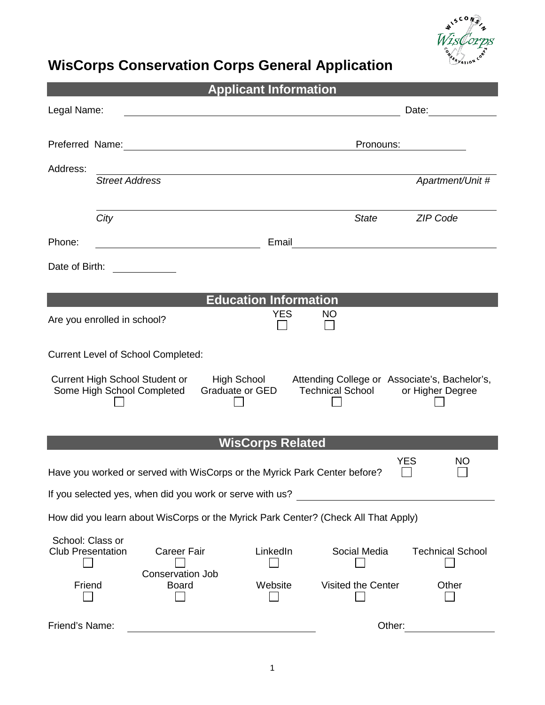

# **WisCorps Conservation Corps General Application**

| <b>Applicant Information</b>                                                                          |                                                     |  |  |  |  |  |
|-------------------------------------------------------------------------------------------------------|-----------------------------------------------------|--|--|--|--|--|
| Legal Name:                                                                                           | Date:                                               |  |  |  |  |  |
|                                                                                                       |                                                     |  |  |  |  |  |
|                                                                                                       | Pronouns:                                           |  |  |  |  |  |
| Address:                                                                                              |                                                     |  |  |  |  |  |
| <b>Street Address</b>                                                                                 | Apartment/Unit #                                    |  |  |  |  |  |
|                                                                                                       |                                                     |  |  |  |  |  |
| City                                                                                                  | ZIP Code<br><b>State</b>                            |  |  |  |  |  |
| Phone:                                                                                                | Email                                               |  |  |  |  |  |
| Date of Birth:                                                                                        |                                                     |  |  |  |  |  |
|                                                                                                       |                                                     |  |  |  |  |  |
| <b>Education Information</b>                                                                          |                                                     |  |  |  |  |  |
| Are you enrolled in school?                                                                           | <b>YES</b><br><b>NO</b>                             |  |  |  |  |  |
|                                                                                                       |                                                     |  |  |  |  |  |
| <b>Current Level of School Completed:</b>                                                             |                                                     |  |  |  |  |  |
| <b>Current High School Student or</b><br>High School<br>Attending College or Associate's, Bachelor's, |                                                     |  |  |  |  |  |
| Some High School Completed<br>Graduate or GED<br><b>Technical School</b><br>or Higher Degree          |                                                     |  |  |  |  |  |
|                                                                                                       |                                                     |  |  |  |  |  |
|                                                                                                       |                                                     |  |  |  |  |  |
| <b>WisCorps Related</b><br><b>YES</b><br><b>NO</b>                                                    |                                                     |  |  |  |  |  |
| Have you worked or served with WisCorps or the Myrick Park Center before?                             |                                                     |  |  |  |  |  |
| If you selected yes, when did you work or serve with us?                                              |                                                     |  |  |  |  |  |
| How did you learn about WisCorps or the Myrick Park Center? (Check All That Apply)                    |                                                     |  |  |  |  |  |
| School: Class or                                                                                      |                                                     |  |  |  |  |  |
| <b>Career Fair</b><br><b>Club Presentation</b>                                                        | LinkedIn<br>Social Media<br><b>Technical School</b> |  |  |  |  |  |
| Conservation Job<br>Friend<br><b>Board</b>                                                            | Website<br>Visited the Center<br>Other              |  |  |  |  |  |
|                                                                                                       |                                                     |  |  |  |  |  |
| Friend's Name:                                                                                        | Other:                                              |  |  |  |  |  |